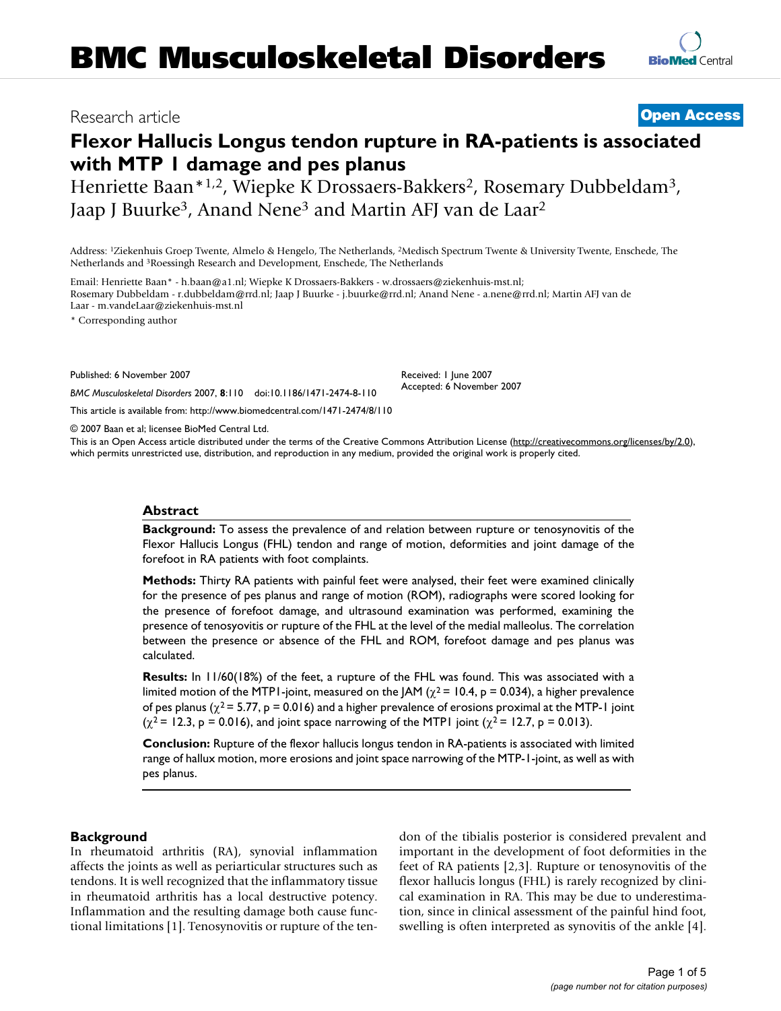# Research article **[Open Access](http://www.biomedcentral.com/info/about/charter/)**

# **Flexor Hallucis Longus tendon rupture in RA-patients is associated with MTP 1 damage and pes planus**

Henriette Baan\*1,2, Wiepke K Drossaers-Bakkers<sup>2</sup>, Rosemary Dubbeldam<sup>3</sup>, Jaap J Buurke<sup>3</sup>, Anand Nene<sup>3</sup> and Martin AFJ van de Laar<sup>2</sup>

Address: 1Ziekenhuis Groep Twente, Almelo & Hengelo, The Netherlands, 2Medisch Spectrum Twente & University Twente, Enschede, The Netherlands and 3Roessingh Research and Development, Enschede, The Netherlands

Email: Henriette Baan\* - h.baan@a1.nl; Wiepke K Drossaers-Bakkers - w.drossaers@ziekenhuis-mst.nl; Rosemary Dubbeldam - r.dubbeldam@rrd.nl; Jaap J Buurke - j.buurke@rrd.nl; Anand Nene - a.nene@rrd.nl; Martin AFJ van de Laar - m.vandeLaar@ziekenhuis-mst.nl

\* Corresponding author

Published: 6 November 2007

Received: 1 June 2007 Accepted: 6 November 2007

[This article is available from: http://www.biomedcentral.com/1471-2474/8/110](http://www.biomedcentral.com/1471-2474/8/110)

© 2007 Baan et al; licensee BioMed Central Ltd.

*BMC Musculoskeletal Disorders* 2007, **8**:110 doi:10.1186/1471-2474-8-110

This is an Open Access article distributed under the terms of the Creative Commons Attribution License [\(http://creativecommons.org/licenses/by/2.0\)](http://creativecommons.org/licenses/by/2.0), which permits unrestricted use, distribution, and reproduction in any medium, provided the original work is properly cited.

#### **Abstract**

**Background:** To assess the prevalence of and relation between rupture or tenosynovitis of the Flexor Hallucis Longus (FHL) tendon and range of motion, deformities and joint damage of the forefoot in RA patients with foot complaints.

**Methods:** Thirty RA patients with painful feet were analysed, their feet were examined clinically for the presence of pes planus and range of motion (ROM), radiographs were scored looking for the presence of forefoot damage, and ultrasound examination was performed, examining the presence of tenosyovitis or rupture of the FHL at the level of the medial malleolus. The correlation between the presence or absence of the FHL and ROM, forefoot damage and pes planus was calculated.

**Results:** In 11/60(18%) of the feet, a rupture of the FHL was found. This was associated with a limited motion of the MTP1-joint, measured on the JAM ( $\chi^2$  = 10.4, p = 0.034), a higher prevalence of pes planus ( $\chi^2$  = 5.77, p = 0.016) and a higher prevalence of erosions proximal at the MTP-1 joint  $(\chi^2 = 12.3, p = 0.016)$ , and joint space narrowing of the MTP1 joint  $(\chi^2 = 12.7, p = 0.013)$ .

**Conclusion:** Rupture of the flexor hallucis longus tendon in RA-patients is associated with limited range of hallux motion, more erosions and joint space narrowing of the MTP-1-joint, as well as with pes planus.

#### **Background**

In rheumatoid arthritis (RA), synovial inflammation affects the joints as well as periarticular structures such as tendons. It is well recognized that the inflammatory tissue in rheumatoid arthritis has a local destructive potency. Inflammation and the resulting damage both cause functional limitations [1]. Tenosynovitis or rupture of the tendon of the tibialis posterior is considered prevalent and important in the development of foot deformities in the feet of RA patients [2,3]. Rupture or tenosynovitis of the flexor hallucis longus (FHL) is rarely recognized by clinical examination in RA. This may be due to underestimation, since in clinical assessment of the painful hind foot, swelling is often interpreted as synovitis of the ankle [4].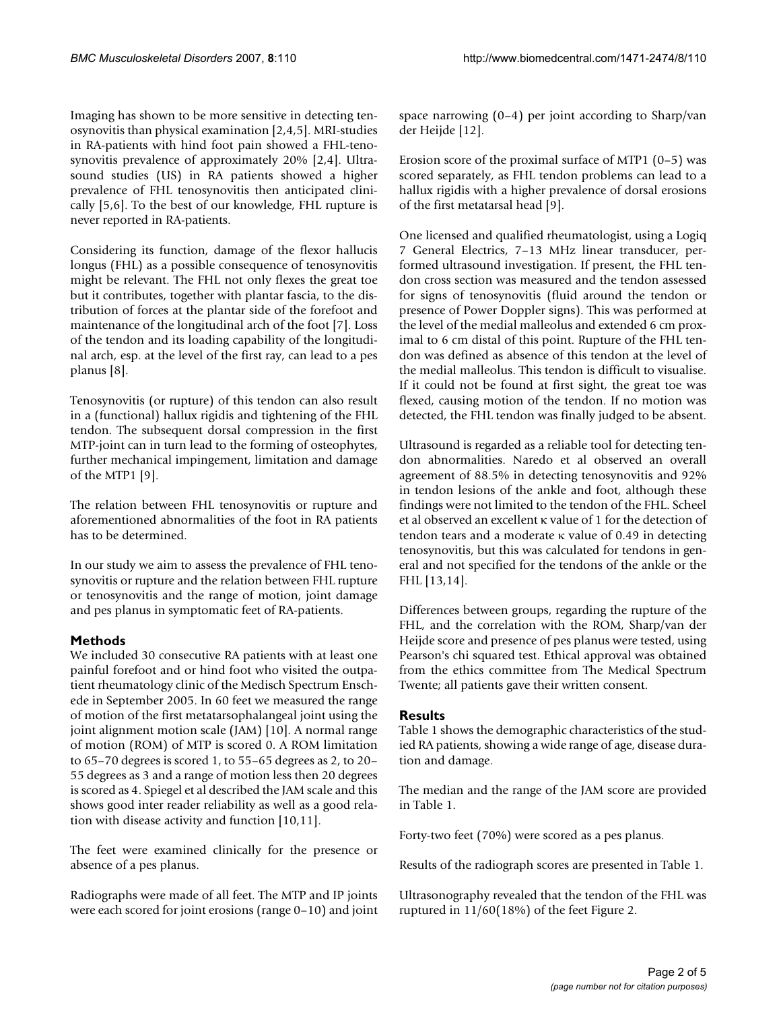Imaging has shown to be more sensitive in detecting tenosynovitis than physical examination [2,4,5]. MRI-studies in RA-patients with hind foot pain showed a FHL-tenosynovitis prevalence of approximately 20% [2,4]. Ultrasound studies (US) in RA patients showed a higher prevalence of FHL tenosynovitis then anticipated clinically [5,6]. To the best of our knowledge, FHL rupture is never reported in RA-patients.

Considering its function, damage of the flexor hallucis longus (FHL) as a possible consequence of tenosynovitis might be relevant. The FHL not only flexes the great toe but it contributes, together with plantar fascia, to the distribution of forces at the plantar side of the forefoot and maintenance of the longitudinal arch of the foot [7]. Loss of the tendon and its loading capability of the longitudinal arch, esp. at the level of the first ray, can lead to a pes planus [8].

Tenosynovitis (or rupture) of this tendon can also result in a (functional) hallux rigidis and tightening of the FHL tendon. The subsequent dorsal compression in the first MTP-joint can in turn lead to the forming of osteophytes, further mechanical impingement, limitation and damage of the MTP1 [9].

The relation between FHL tenosynovitis or rupture and aforementioned abnormalities of the foot in RA patients has to be determined.

In our study we aim to assess the prevalence of FHL tenosynovitis or rupture and the relation between FHL rupture or tenosynovitis and the range of motion, joint damage and pes planus in symptomatic feet of RA-patients.

# **Methods**

We included 30 consecutive RA patients with at least one painful forefoot and or hind foot who visited the outpatient rheumatology clinic of the Medisch Spectrum Enschede in September 2005. In 60 feet we measured the range of motion of the first metatarsophalangeal joint using the joint alignment motion scale (JAM) [10]. A normal range of motion (ROM) of MTP is scored 0. A ROM limitation to 65–70 degrees is scored 1, to 55–65 degrees as 2, to 20– 55 degrees as 3 and a range of motion less then 20 degrees is scored as 4. Spiegel et al described the JAM scale and this shows good inter reader reliability as well as a good relation with disease activity and function [10,11].

The feet were examined clinically for the presence or absence of a pes planus.

Radiographs were made of all feet. The MTP and IP joints were each scored for joint erosions (range 0–10) and joint space narrowing (0–4) per joint according to Sharp/van der Heijde [12].

Erosion score of the proximal surface of MTP1 (0–5) was scored separately, as FHL tendon problems can lead to a hallux rigidis with a higher prevalence of dorsal erosions of the first metatarsal head [9].

One licensed and qualified rheumatologist, using a Logiq 7 General Electrics, 7–13 MHz linear transducer, performed ultrasound investigation. If present, the FHL tendon cross section was measured and the tendon assessed for signs of tenosynovitis (fluid around the tendon or presence of Power Doppler signs). This was performed at the level of the medial malleolus and extended 6 cm proximal to 6 cm distal of this point. Rupture of the FHL tendon was defined as absence of this tendon at the level of the medial malleolus. This tendon is difficult to visualise. If it could not be found at first sight, the great toe was flexed, causing motion of the tendon. If no motion was detected, the FHL tendon was finally judged to be absent.

Ultrasound is regarded as a reliable tool for detecting tendon abnormalities. Naredo et al observed an overall agreement of 88.5% in detecting tenosynovitis and 92% in tendon lesions of the ankle and foot, although these findings were not limited to the tendon of the FHL. Scheel et al observed an excellent κ value of 1 for the detection of tendon tears and a moderate κ value of 0.49 in detecting tenosynovitis, but this was calculated for tendons in general and not specified for the tendons of the ankle or the FHL [13,14].

Differences between groups, regarding the rupture of the FHL, and the correlation with the ROM, Sharp/van der Heijde score and presence of pes planus were tested, using Pearson's chi squared test. Ethical approval was obtained from the ethics committee from The Medical Spectrum Twente; all patients gave their written consent.

# **Results**

Table 1 shows the demographic characteristics of the studied RA patients, showing a wide range of age, disease duration and damage.

The median and the range of the JAM score are provided in Table 1.

Forty-two feet (70%) were scored as a pes planus.

Results of the radiograph scores are presented in Table 1.

Ultrasonography revealed that the tendon of the FHL was ruptured in 11/60(18%) of the feet Figure 2.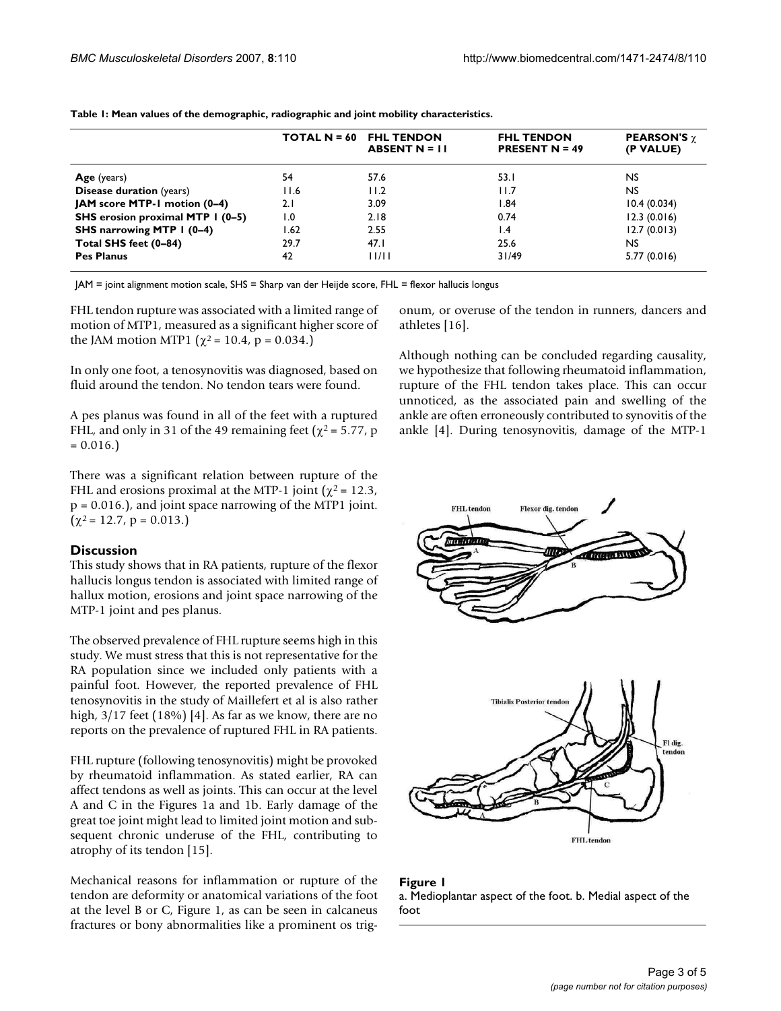|                                  | <b>TOTAL N = <math>60</math></b> | <b>FHL TENDON</b><br>ABSENT $N = 11$ | <b>FHL TENDON</b><br><b>PRESENT N = 49</b> | <b>PEARSON'S</b> $\gamma$<br>(P VALUE) |
|----------------------------------|----------------------------------|--------------------------------------|--------------------------------------------|----------------------------------------|
| Age (years)                      | 54                               | 57.6                                 | 53.I                                       | NS.                                    |
| <b>Disease duration</b> (years)  | 11.6                             | 11.2                                 | 11.7                                       | NS.                                    |
| JAM score MTP-1 motion (0–4)     | 2.1                              | 3.09                                 | 1.84                                       | 10.4(0.034)                            |
| SHS erosion proximal MTP I (0-5) | 1.0                              | 2.18                                 | 0.74                                       | 12.3(0.016)                            |
| SHS narrowing MTP 1 (0-4)        | I.62                             | 2.55                                 | $\mathsf{I}$ .4                            | 12.7(0.013)                            |
| Total SHS feet (0-84)            | 29.7                             | 47.1                                 | 25.6                                       | NS.                                    |
| <b>Pes Planus</b>                | 42                               | 11/11                                | 31/49                                      | 5.77(0.016)                            |

**Table 1: Mean values of the demographic, radiographic and joint mobility characteristics.**

JAM = joint alignment motion scale, SHS = Sharp van der Heijde score, FHL = flexor hallucis longus

FHL tendon rupture was associated with a limited range of motion of MTP1, measured as a significant higher score of the JAM motion MTP1 ( $\chi^2$  = 10.4, p = 0.034.)

In only one foot, a tenosynovitis was diagnosed, based on fluid around the tendon. No tendon tears were found.

A pes planus was found in all of the feet with a ruptured FHL, and only in 31 of the 49 remaining feet ( $\chi^2$  = 5.77, p  $= 0.016.$ 

There was a significant relation between rupture of the FHL and erosions proximal at the MTP-1 joint ( $\chi^2$  = 12.3, p = 0.016.), and joint space narrowing of the MTP1 joint.  $(\chi^2 = 12.7, p = 0.013.)$ 

#### **Discussion**

This study shows that in RA patients, rupture of the flexor hallucis longus tendon is associated with limited range of hallux motion, erosions and joint space narrowing of the MTP-1 joint and pes planus.

The observed prevalence of FHL rupture seems high in this study. We must stress that this is not representative for the RA population since we included only patients with a painful foot. However, the reported prevalence of FHL tenosynovitis in the study of Maillefert et al is also rather high,  $3/17$  feet (18%) [4]. As far as we know, there are no reports on the prevalence of ruptured FHL in RA patients.

FHL rupture (following tenosynovitis) might be provoked by rheumatoid inflammation. As stated earlier, RA can affect tendons as well as joints. This can occur at the level A and C in the Figures 1a and 1b. Early damage of the great toe joint might lead to limited joint motion and subsequent chronic underuse of the FHL, contributing to atrophy of its tendon [15].

Mechanical reasons for inflammation or rupture of the tendon are deformity or anatomical variations of the foot at the level B or C, Figure 1, as can be seen in calcaneus fractures or bony abnormalities like a prominent os trigonum, or overuse of the tendon in runners, dancers and athletes [16].

Although nothing can be concluded regarding causality, we hypothesize that following rheumatoid inflammation, rupture of the FHL tendon takes place. This can occur unnoticed, as the associated pain and swelling of the ankle are often erroneously contributed to synovitis of the ankle [4]. During tenosynovitis, damage of the MTP-1



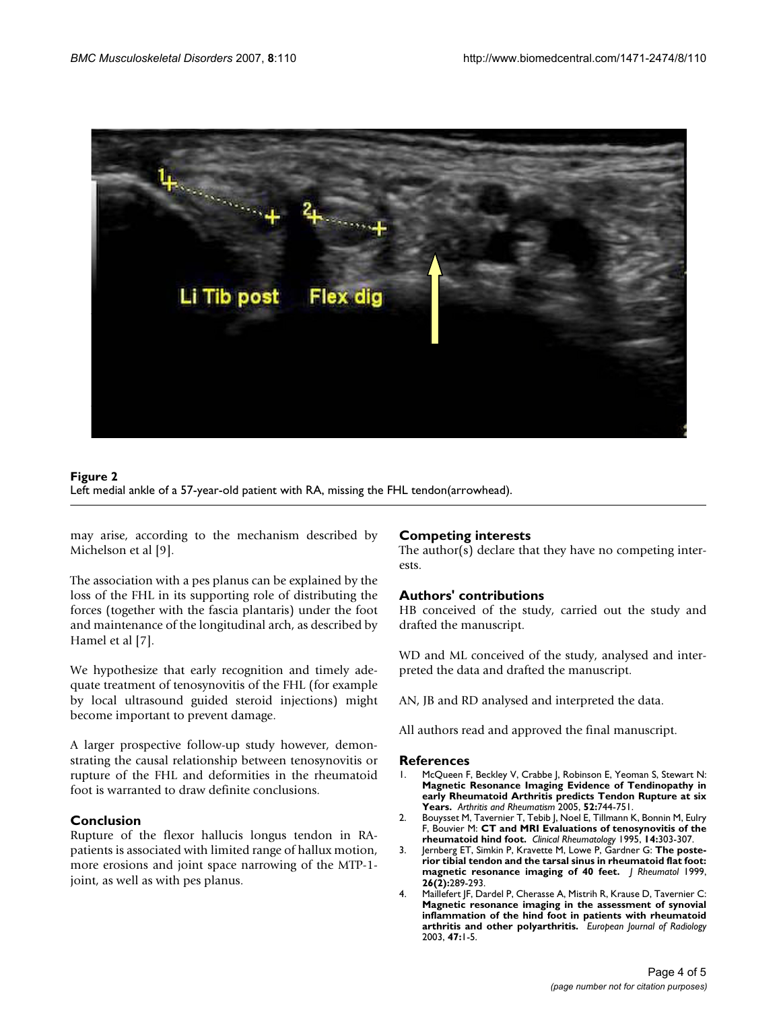

#### Left medial ankle of a 57-year-old patien **Figure 2** t with RA, missing the FHL tendon(arrowhead) Left medial ankle of a 57-year-old patient with RA, missing the FHL tendon(arrowhead).

may arise, according to the mechanism described by Michelson et al [9].

The association with a pes planus can be explained by the loss of the FHL in its supporting role of distributing the forces (together with the fascia plantaris) under the foot and maintenance of the longitudinal arch, as described by Hamel et al [7].

We hypothesize that early recognition and timely adequate treatment of tenosynovitis of the FHL (for example by local ultrasound guided steroid injections) might become important to prevent damage.

A larger prospective follow-up study however, demonstrating the causal relationship between tenosynovitis or rupture of the FHL and deformities in the rheumatoid foot is warranted to draw definite conclusions.

# **Conclusion**

Rupture of the flexor hallucis longus tendon in RApatients is associated with limited range of hallux motion, more erosions and joint space narrowing of the MTP-1 joint, as well as with pes planus.

#### **Competing interests**

The author(s) declare that they have no competing interests.

# **Authors' contributions**

HB conceived of the study, carried out the study and drafted the manuscript.

WD and ML conceived of the study, analysed and interpreted the data and drafted the manuscript.

AN, JB and RD analysed and interpreted the data.

All authors read and approved the final manuscript.

#### **References**

- 1. McQueen F, Beckley V, Crabbe J, Robinson E, Yeoman S, Stewart N: **Magnetic Resonance Imaging Evidence of Tendinopathy in early Rheumatoid Arthritis predicts Tendon Rupture at six Years.** *Arthritis and Rheumatism* 2005, **52:**744-751.
- 2. Bouysset M, Tavernier T, Tebib J, Noel E, Tillmann K, Bonnin M, Eulry F, Bouvier M: **[CT and MRI Evaluations of tenosynovitis of the](http://www.ncbi.nlm.nih.gov/entrez/query.fcgi?cmd=Retrieve&db=PubMed&dopt=Abstract&list_uids=7641506) [rheumatoid hind foot.](http://www.ncbi.nlm.nih.gov/entrez/query.fcgi?cmd=Retrieve&db=PubMed&dopt=Abstract&list_uids=7641506)** *Clinical Rheumatology* 1995, **14:**303-307.
- 3. Jernberg ET, Simkin P, Kravette M, Lowe P, Gardner G: **[The poste](http://www.ncbi.nlm.nih.gov/entrez/query.fcgi?cmd=Retrieve&db=PubMed&dopt=Abstract&list_uids=9972960)[rior tibial tendon and the tarsal sinus in rheumatoid flat foot:](http://www.ncbi.nlm.nih.gov/entrez/query.fcgi?cmd=Retrieve&db=PubMed&dopt=Abstract&list_uids=9972960) [magnetic resonance imaging of 40 feet.](http://www.ncbi.nlm.nih.gov/entrez/query.fcgi?cmd=Retrieve&db=PubMed&dopt=Abstract&list_uids=9972960)** *J Rheumatol* 1999, **26(2):**289-293.
- 4. Maillefert JF, Dardel P, Cherasse A, Mistrih R, Krause D, Tavernier C: **[Magnetic resonance imaging in the assessment of synovial](http://www.ncbi.nlm.nih.gov/entrez/query.fcgi?cmd=Retrieve&db=PubMed&dopt=Abstract&list_uids=12810213) inflammation of the hind foot in patients with rheumatoid [arthritis and other polyarthritis.](http://www.ncbi.nlm.nih.gov/entrez/query.fcgi?cmd=Retrieve&db=PubMed&dopt=Abstract&list_uids=12810213)** *European Journal of Radiology* 2003, **47:**1-5.